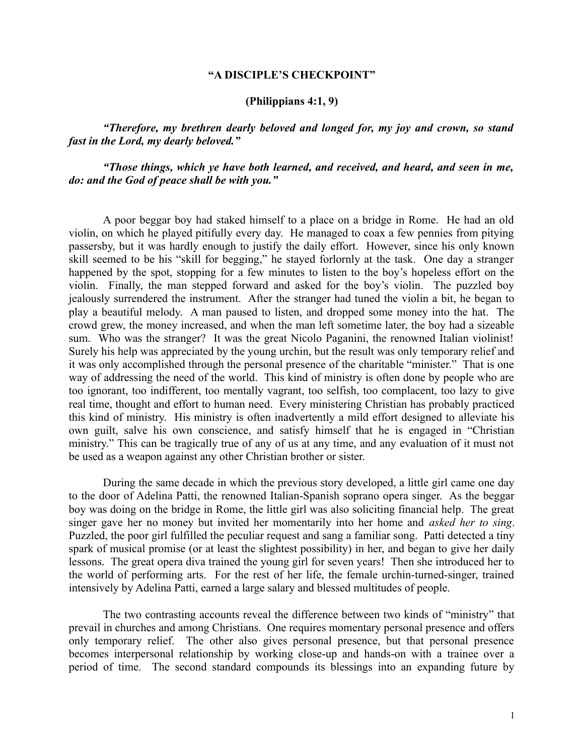### **"A DISCIPLE'S CHECKPOINT"**

# **(Philippians 4:1, 9)**

*"Therefore, my brethren dearly beloved and longed for, my joy and crown, so stand fast in the Lord, my dearly beloved."*

*"Those things, which ye have both learned, and received, and heard, and seen in me, do: and the God of peace shall be with you."*

A poor beggar boy had staked himself to a place on a bridge in Rome. He had an old violin, on which he played pitifully every day. He managed to coax a few pennies from pitying passersby, but it was hardly enough to justify the daily effort. However, since his only known skill seemed to be his "skill for begging," he stayed forlornly at the task. One day a stranger happened by the spot, stopping for a few minutes to listen to the boy's hopeless effort on the violin. Finally, the man stepped forward and asked for the boy's violin. The puzzled boy jealously surrendered the instrument. After the stranger had tuned the violin a bit, he began to play a beautiful melody. A man paused to listen, and dropped some money into the hat. The crowd grew, the money increased, and when the man left sometime later, the boy had a sizeable sum. Who was the stranger? It was the great Nicolo Paganini, the renowned Italian violinist! Surely his help was appreciated by the young urchin, but the result was only temporary relief and it was only accomplished through the personal presence of the charitable "minister." That is one way of addressing the need of the world. This kind of ministry is often done by people who are too ignorant, too indifferent, too mentally vagrant, too selfish, too complacent, too lazy to give real time, thought and effort to human need. Every ministering Christian has probably practiced this kind of ministry. His ministry is often inadvertently a mild effort designed to alleviate his own guilt, salve his own conscience, and satisfy himself that he is engaged in "Christian ministry." This can be tragically true of any of us at any time, and any evaluation of it must not be used as a weapon against any other Christian brother or sister.

During the same decade in which the previous story developed, a little girl came one day to the door of Adelina Patti, the renowned Italian-Spanish soprano opera singer. As the beggar boy was doing on the bridge in Rome, the little girl was also soliciting financial help. The great singer gave her no money but invited her momentarily into her home and *asked her to sing*. Puzzled, the poor girl fulfilled the peculiar request and sang a familiar song. Patti detected a tiny spark of musical promise (or at least the slightest possibility) in her, and began to give her daily lessons. The great opera diva trained the young girl for seven years! Then she introduced her to the world of performing arts. For the rest of her life, the female urchin-turned-singer, trained intensively by Adelina Patti, earned a large salary and blessed multitudes of people.

The two contrasting accounts reveal the difference between two kinds of "ministry" that prevail in churches and among Christians. One requires momentary personal presence and offers only temporary relief. The other also gives personal presence, but that personal presence becomes interpersonal relationship by working close-up and hands-on with a trainee over a period of time. The second standard compounds its blessings into an expanding future by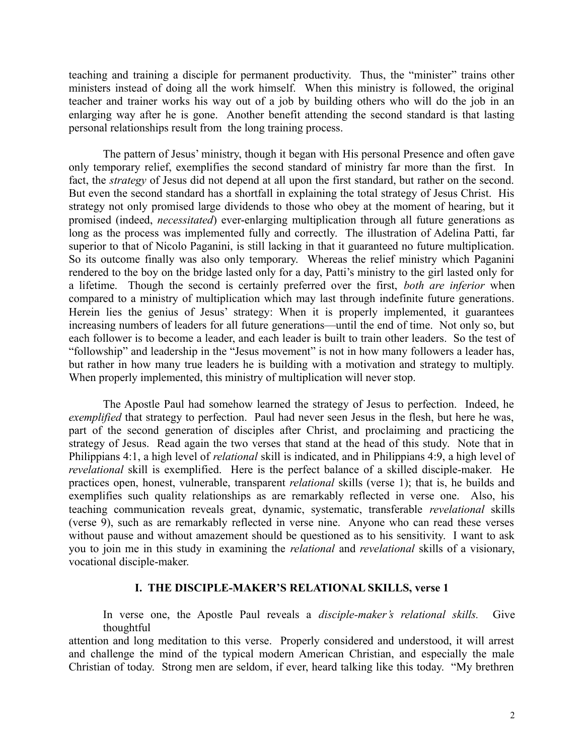teaching and training a disciple for permanent productivity. Thus, the "minister" trains other ministers instead of doing all the work himself. When this ministry is followed, the original teacher and trainer works his way out of a job by building others who will do the job in an enlarging way after he is gone. Another benefit attending the second standard is that lasting personal relationships result from the long training process.

The pattern of Jesus' ministry, though it began with His personal Presence and often gave only temporary relief, exemplifies the second standard of ministry far more than the first. In fact, the *strategy* of Jesus did not depend at all upon the first standard, but rather on the second. But even the second standard has a shortfall in explaining the total strategy of Jesus Christ. His strategy not only promised large dividends to those who obey at the moment of hearing, but it promised (indeed, *necessitated*) ever-enlarging multiplication through all future generations as long as the process was implemented fully and correctly. The illustration of Adelina Patti, far superior to that of Nicolo Paganini, is still lacking in that it guaranteed no future multiplication. So its outcome finally was also only temporary. Whereas the relief ministry which Paganini rendered to the boy on the bridge lasted only for a day, Patti's ministry to the girl lasted only for a lifetime. Though the second is certainly preferred over the first, *both are inferior* when compared to a ministry of multiplication which may last through indefinite future generations. Herein lies the genius of Jesus' strategy: When it is properly implemented, it guarantees increasing numbers of leaders for all future generations—until the end of time. Not only so, but each follower is to become a leader, and each leader is built to train other leaders. So the test of "followship" and leadership in the "Jesus movement" is not in how many followers a leader has, but rather in how many true leaders he is building with a motivation and strategy to multiply. When properly implemented, this ministry of multiplication will never stop.

The Apostle Paul had somehow learned the strategy of Jesus to perfection. Indeed, he *exemplified* that strategy to perfection. Paul had never seen Jesus in the flesh, but here he was, part of the second generation of disciples after Christ, and proclaiming and practicing the strategy of Jesus. Read again the two verses that stand at the head of this study. Note that in Philippians 4:1, a high level of *relational* skill is indicated, and in Philippians 4:9, a high level of *revelational* skill is exemplified. Here is the perfect balance of a skilled disciple-maker. He practices open, honest, vulnerable, transparent *relational* skills (verse 1); that is, he builds and exemplifies such quality relationships as are remarkably reflected in verse one. Also, his teaching communication reveals great, dynamic, systematic, transferable *revelational* skills (verse 9), such as are remarkably reflected in verse nine. Anyone who can read these verses without pause and without amazement should be questioned as to his sensitivity. I want to ask you to join me in this study in examining the *relational* and *revelational* skills of a visionary, vocational disciple-maker.

### **I. THE DISCIPLE-MAKER'S RELATIONAL SKILLS, verse 1**

In verse one, the Apostle Paul reveals a *disciple-maker's relational skills.* Give thoughtful

attention and long meditation to this verse. Properly considered and understood, it will arrest and challenge the mind of the typical modern American Christian, and especially the male Christian of today. Strong men are seldom, if ever, heard talking like this today. "My brethren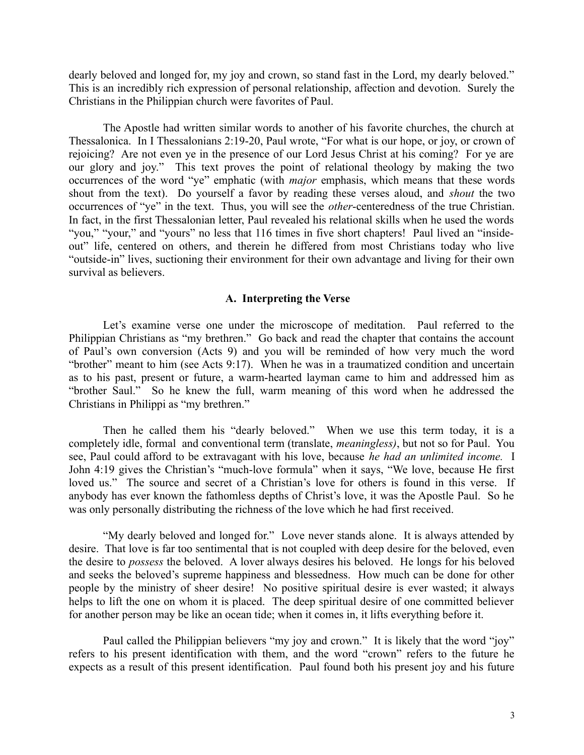dearly beloved and longed for, my joy and crown, so stand fast in the Lord, my dearly beloved." This is an incredibly rich expression of personal relationship, affection and devotion. Surely the Christians in the Philippian church were favorites of Paul.

The Apostle had written similar words to another of his favorite churches, the church at Thessalonica. In I Thessalonians 2:19-20, Paul wrote, "For what is our hope, or joy, or crown of rejoicing? Are not even ye in the presence of our Lord Jesus Christ at his coming? For ye are our glory and joy." This text proves the point of relational theology by making the two occurrences of the word "ye" emphatic (with *major* emphasis, which means that these words shout from the text). Do yourself a favor by reading these verses aloud, and *shout* the two occurrences of "ye" in the text. Thus, you will see the *other*-centeredness of the true Christian. In fact, in the first Thessalonian letter, Paul revealed his relational skills when he used the words "you," "your," and "yours" no less that 116 times in five short chapters! Paul lived an "insideout" life, centered on others, and therein he differed from most Christians today who live "outside-in" lives, suctioning their environment for their own advantage and living for their own survival as believers.

## **A. Interpreting the Verse**

Let's examine verse one under the microscope of meditation. Paul referred to the Philippian Christians as "my brethren." Go back and read the chapter that contains the account of Paul's own conversion (Acts 9) and you will be reminded of how very much the word "brother" meant to him (see Acts 9:17). When he was in a traumatized condition and uncertain as to his past, present or future, a warm-hearted layman came to him and addressed him as "brother Saul." So he knew the full, warm meaning of this word when he addressed the Christians in Philippi as "my brethren."

Then he called them his "dearly beloved." When we use this term today, it is a completely idle, formal and conventional term (translate, *meaningless)*, but not so for Paul. You see, Paul could afford to be extravagant with his love, because *he had an unlimited income.* I John 4:19 gives the Christian's "much-love formula" when it says, "We love, because He first loved us." The source and secret of a Christian's love for others is found in this verse. If anybody has ever known the fathomless depths of Christ's love, it was the Apostle Paul. So he was only personally distributing the richness of the love which he had first received.

"My dearly beloved and longed for." Love never stands alone. It is always attended by desire. That love is far too sentimental that is not coupled with deep desire for the beloved, even the desire to *possess* the beloved. A lover always desires his beloved. He longs for his beloved and seeks the beloved's supreme happiness and blessedness. How much can be done for other people by the ministry of sheer desire! No positive spiritual desire is ever wasted; it always helps to lift the one on whom it is placed. The deep spiritual desire of one committed believer for another person may be like an ocean tide; when it comes in, it lifts everything before it.

Paul called the Philippian believers "my joy and crown." It is likely that the word "joy" refers to his present identification with them, and the word "crown" refers to the future he expects as a result of this present identification. Paul found both his present joy and his future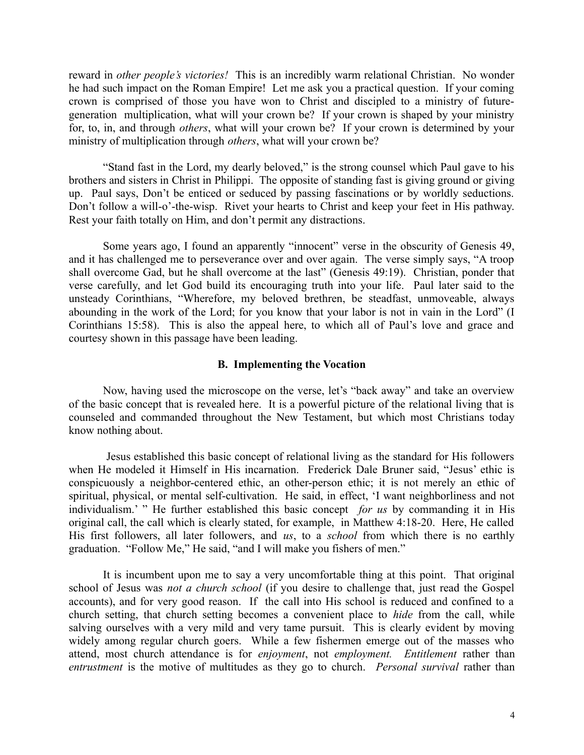reward in *other people's victories!* This is an incredibly warm relational Christian. No wonder he had such impact on the Roman Empire! Let me ask you a practical question. If your coming crown is comprised of those you have won to Christ and discipled to a ministry of futuregeneration multiplication, what will your crown be? If your crown is shaped by your ministry for, to, in, and through *others*, what will your crown be? If your crown is determined by your ministry of multiplication through *others*, what will your crown be?

"Stand fast in the Lord, my dearly beloved," is the strong counsel which Paul gave to his brothers and sisters in Christ in Philippi. The opposite of standing fast is giving ground or giving up. Paul says, Don't be enticed or seduced by passing fascinations or by worldly seductions. Don't follow a will-o'-the-wisp. Rivet your hearts to Christ and keep your feet in His pathway. Rest your faith totally on Him, and don't permit any distractions.

Some years ago, I found an apparently "innocent" verse in the obscurity of Genesis 49, and it has challenged me to perseverance over and over again. The verse simply says, "A troop shall overcome Gad, but he shall overcome at the last" (Genesis 49:19). Christian, ponder that verse carefully, and let God build its encouraging truth into your life. Paul later said to the unsteady Corinthians, "Wherefore, my beloved brethren, be steadfast, unmoveable, always abounding in the work of the Lord; for you know that your labor is not in vain in the Lord" (I Corinthians 15:58). This is also the appeal here, to which all of Paul's love and grace and courtesy shown in this passage have been leading.

### **B. Implementing the Vocation**

Now, having used the microscope on the verse, let's "back away" and take an overview of the basic concept that is revealed here. It is a powerful picture of the relational living that is counseled and commanded throughout the New Testament, but which most Christians today know nothing about.

 Jesus established this basic concept of relational living as the standard for His followers when He modeled it Himself in His incarnation. Frederick Dale Bruner said, "Jesus' ethic is conspicuously a neighbor-centered ethic, an other-person ethic; it is not merely an ethic of spiritual, physical, or mental self-cultivation. He said, in effect, 'I want neighborliness and not individualism.' " He further established this basic concept *for us* by commanding it in His original call, the call which is clearly stated, for example, in Matthew 4:18-20. Here, He called His first followers, all later followers, and *us*, to a *school* from which there is no earthly graduation. "Follow Me," He said, "and I will make you fishers of men."

It is incumbent upon me to say a very uncomfortable thing at this point. That original school of Jesus was *not a church school* (if you desire to challenge that, just read the Gospel accounts), and for very good reason. If the call into His school is reduced and confined to a church setting, that church setting becomes a convenient place to *hide* from the call, while salving ourselves with a very mild and very tame pursuit. This is clearly evident by moving widely among regular church goers. While a few fishermen emerge out of the masses who attend, most church attendance is for *enjoyment*, not *employment. Entitlement* rather than *entrustment* is the motive of multitudes as they go to church. *Personal survival* rather than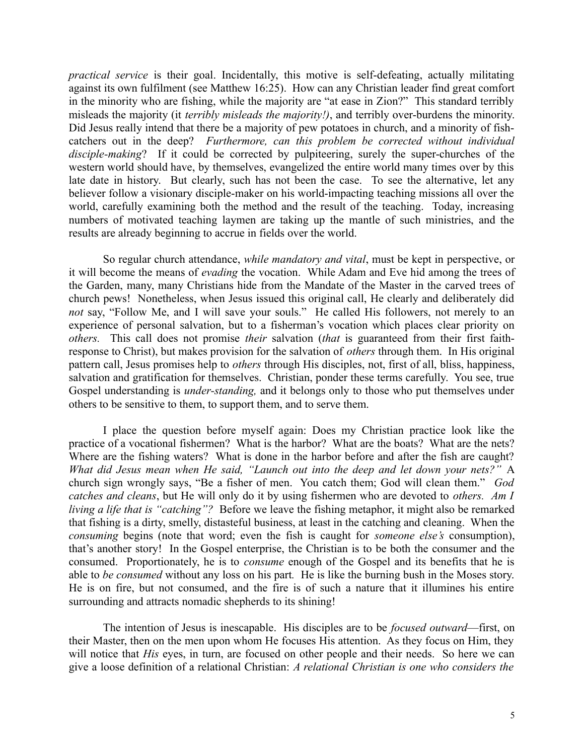*practical service* is their goal. Incidentally, this motive is self-defeating, actually militating against its own fulfilment (see Matthew 16:25). How can any Christian leader find great comfort in the minority who are fishing, while the majority are "at ease in Zion?" This standard terribly misleads the majority (it *terribly misleads the majority!)*, and terribly over-burdens the minority. Did Jesus really intend that there be a majority of pew potatoes in church, and a minority of fishcatchers out in the deep? *Furthermore, can this problem be corrected without individual disciple-making*? If it could be corrected by pulpiteering, surely the super-churches of the western world should have, by themselves, evangelized the entire world many times over by this late date in history. But clearly, such has not been the case. To see the alternative, let any believer follow a visionary disciple-maker on his world-impacting teaching missions all over the world, carefully examining both the method and the result of the teaching. Today, increasing numbers of motivated teaching laymen are taking up the mantle of such ministries, and the results are already beginning to accrue in fields over the world.

So regular church attendance, *while mandatory and vital*, must be kept in perspective, or it will become the means of *evading* the vocation. While Adam and Eve hid among the trees of the Garden, many, many Christians hide from the Mandate of the Master in the carved trees of church pews! Nonetheless, when Jesus issued this original call, He clearly and deliberately did not say, "Follow Me, and I will save your souls." He called His followers, not merely to an experience of personal salvation, but to a fisherman's vocation which places clear priority on *others.* This call does not promise *their* salvation (*that* is guaranteed from their first faithresponse to Christ), but makes provision for the salvation of *others* through them. In His original pattern call, Jesus promises help to *others* through His disciples, not, first of all, bliss, happiness, salvation and gratification for themselves. Christian, ponder these terms carefully. You see, true Gospel understanding is *under-standing,* and it belongs only to those who put themselves under others to be sensitive to them, to support them, and to serve them.

I place the question before myself again: Does my Christian practice look like the practice of a vocational fishermen? What is the harbor? What are the boats? What are the nets? Where are the fishing waters? What is done in the harbor before and after the fish are caught? *What did Jesus mean when He said, "Launch out into the deep and let down your nets?"* A church sign wrongly says, "Be a fisher of men. You catch them; God will clean them." *God catches and cleans*, but He will only do it by using fishermen who are devoted to *others. Am I living a life that is "catching"?* Before we leave the fishing metaphor, it might also be remarked that fishing is a dirty, smelly, distasteful business, at least in the catching and cleaning. When the *consuming* begins (note that word; even the fish is caught for *someone else's* consumption), that's another story! In the Gospel enterprise, the Christian is to be both the consumer and the consumed. Proportionately, he is to *consume* enough of the Gospel and its benefits that he is able to *be consumed* without any loss on his part*.* He is like the burning bush in the Moses story. He is on fire, but not consumed, and the fire is of such a nature that it illumines his entire surrounding and attracts nomadic shepherds to its shining!

The intention of Jesus is inescapable. His disciples are to be *focused outward*—first, on their Master, then on the men upon whom He focuses His attention. As they focus on Him, they will notice that *His* eyes, in turn, are focused on other people and their needs. So here we can give a loose definition of a relational Christian: *A relational Christian is one who considers the*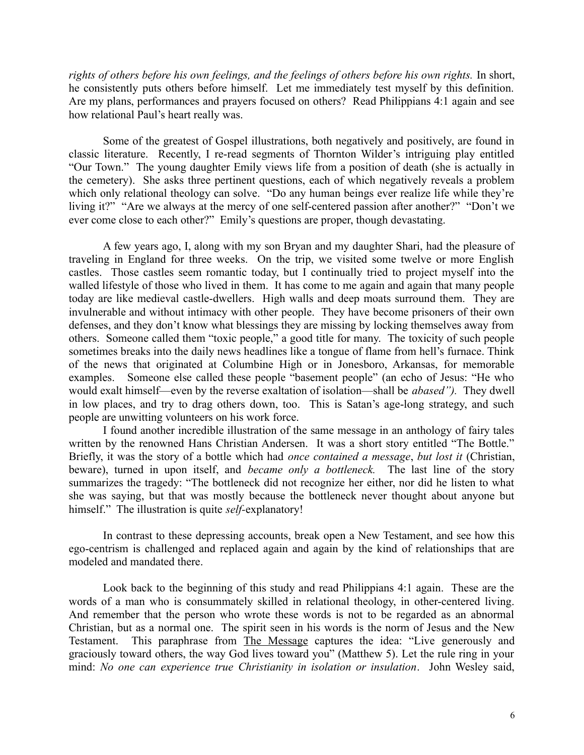*rights of others before his own feelings, and the feelings of others before his own rights.* In short, he consistently puts others before himself. Let me immediately test myself by this definition. Are my plans, performances and prayers focused on others? Read Philippians 4:1 again and see how relational Paul's heart really was.

Some of the greatest of Gospel illustrations, both negatively and positively, are found in classic literature. Recently, I re-read segments of Thornton Wilder's intriguing play entitled "Our Town." The young daughter Emily views life from a position of death (she is actually in the cemetery). She asks three pertinent questions, each of which negatively reveals a problem which only relational theology can solve. "Do any human beings ever realize life while they're living it?" "Are we always at the mercy of one self-centered passion after another?" "Don't we ever come close to each other?" Emily's questions are proper, though devastating.

A few years ago, I, along with my son Bryan and my daughter Shari, had the pleasure of traveling in England for three weeks. On the trip, we visited some twelve or more English castles. Those castles seem romantic today, but I continually tried to project myself into the walled lifestyle of those who lived in them. It has come to me again and again that many people today are like medieval castle-dwellers. High walls and deep moats surround them. They are invulnerable and without intimacy with other people. They have become prisoners of their own defenses, and they don't know what blessings they are missing by locking themselves away from others. Someone called them "toxic people," a good title for many. The toxicity of such people sometimes breaks into the daily news headlines like a tongue of flame from hell's furnace. Think of the news that originated at Columbine High or in Jonesboro, Arkansas, for memorable examples. Someone else called these people "basement people" (an echo of Jesus: "He who would exalt himself—even by the reverse exaltation of isolation—shall be *abased").* They dwell in low places, and try to drag others down, too. This is Satan's age-long strategy, and such people are unwitting volunteers on his work force.

I found another incredible illustration of the same message in an anthology of fairy tales written by the renowned Hans Christian Andersen. It was a short story entitled "The Bottle." Briefly, it was the story of a bottle which had *once contained a message*, *but lost it* (Christian, beware), turned in upon itself, and *became only a bottleneck.* The last line of the story summarizes the tragedy: "The bottleneck did not recognize her either, nor did he listen to what she was saying, but that was mostly because the bottleneck never thought about anyone but himself." The illustration is quite *self-*explanatory!

In contrast to these depressing accounts, break open a New Testament, and see how this ego-centrism is challenged and replaced again and again by the kind of relationships that are modeled and mandated there.

Look back to the beginning of this study and read Philippians 4:1 again. These are the words of a man who is consummately skilled in relational theology, in other-centered living. And remember that the person who wrote these words is not to be regarded as an abnormal Christian, but as a normal one. The spirit seen in his words is the norm of Jesus and the New Testament. This paraphrase from The Message captures the idea: "Live generously and graciously toward others, the way God lives toward you" (Matthew 5). Let the rule ring in your mind: *No one can experience true Christianity in isolation or insulation*. John Wesley said,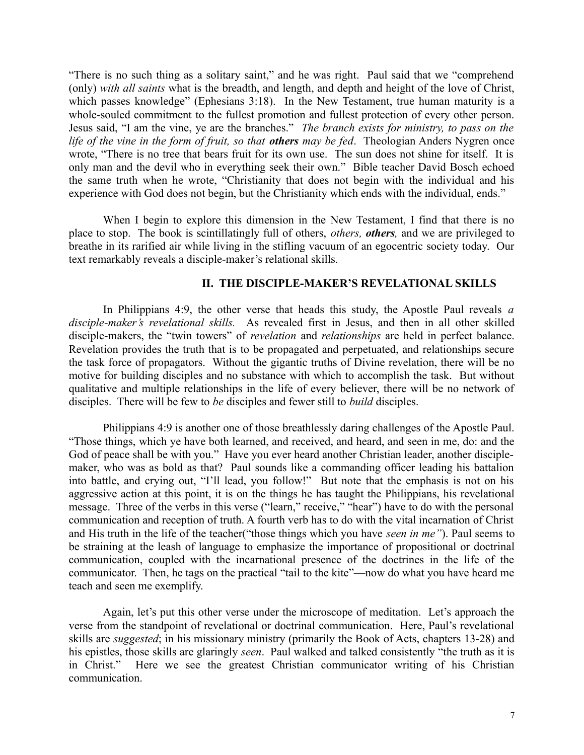"There is no such thing as a solitary saint," and he was right. Paul said that we "comprehend (only) *with all saints* what is the breadth, and length, and depth and height of the love of Christ, which passes knowledge" (Ephesians 3:18). In the New Testament, true human maturity is a whole-souled commitment to the fullest promotion and fullest protection of every other person. Jesus said, "I am the vine, ye are the branches." *The branch exists for ministry, to pass on the life of the vine in the form of fruit, so that others may be fed*. Theologian Anders Nygren once wrote, "There is no tree that bears fruit for its own use. The sun does not shine for itself. It is only man and the devil who in everything seek their own." Bible teacher David Bosch echoed the same truth when he wrote, "Christianity that does not begin with the individual and his experience with God does not begin, but the Christianity which ends with the individual, ends."

When I begin to explore this dimension in the New Testament, I find that there is no place to stop. The book is scintillatingly full of others, *others, others,* and we are privileged to breathe in its rarified air while living in the stifling vacuum of an egocentric society today. Our text remarkably reveals a disciple-maker's relational skills.

## **II. THE DISCIPLE-MAKER'S REVELATIONAL SKILLS**

In Philippians 4:9, the other verse that heads this study, the Apostle Paul reveals *a disciple-maker's revelational skills.* As revealed first in Jesus, and then in all other skilled disciple-makers, the "twin towers" of *revelation* and *relationships* are held in perfect balance. Revelation provides the truth that is to be propagated and perpetuated, and relationships secure the task force of propagators. Without the gigantic truths of Divine revelation, there will be no motive for building disciples and no substance with which to accomplish the task. But without qualitative and multiple relationships in the life of every believer, there will be no network of disciples. There will be few to *be* disciples and fewer still to *build* disciples.

Philippians 4:9 is another one of those breathlessly daring challenges of the Apostle Paul. "Those things, which ye have both learned, and received, and heard, and seen in me, do: and the God of peace shall be with you." Have you ever heard another Christian leader, another disciplemaker, who was as bold as that? Paul sounds like a commanding officer leading his battalion into battle, and crying out, "I'll lead, you follow!" But note that the emphasis is not on his aggressive action at this point, it is on the things he has taught the Philippians, his revelational message. Three of the verbs in this verse ("learn," receive," "hear") have to do with the personal communication and reception of truth. A fourth verb has to do with the vital incarnation of Christ and His truth in the life of the teacher("those things which you have *seen in me"*). Paul seems to be straining at the leash of language to emphasize the importance of propositional or doctrinal communication, coupled with the incarnational presence of the doctrines in the life of the communicator. Then, he tags on the practical "tail to the kite"—now do what you have heard me teach and seen me exemplify.

Again, let's put this other verse under the microscope of meditation. Let's approach the verse from the standpoint of revelational or doctrinal communication. Here, Paul's revelational skills are *suggested*; in his missionary ministry (primarily the Book of Acts, chapters 13-28) and his epistles, those skills are glaringly *seen*. Paul walked and talked consistently "the truth as it is in Christ." Here we see the greatest Christian communicator writing of his Christian communication.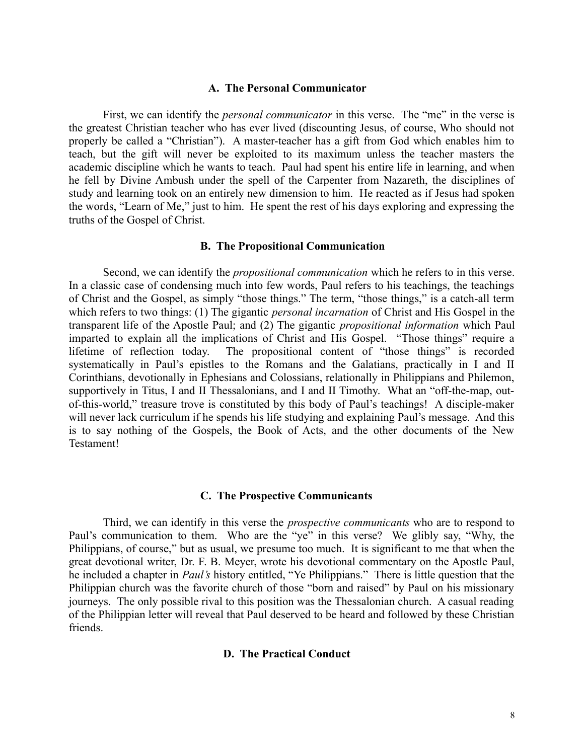#### **A. The Personal Communicator**

First, we can identify the *personal communicator* in this verse. The "me" in the verse is the greatest Christian teacher who has ever lived (discounting Jesus, of course, Who should not properly be called a "Christian"). A master-teacher has a gift from God which enables him to teach, but the gift will never be exploited to its maximum unless the teacher masters the academic discipline which he wants to teach. Paul had spent his entire life in learning, and when he fell by Divine Ambush under the spell of the Carpenter from Nazareth, the disciplines of study and learning took on an entirely new dimension to him. He reacted as if Jesus had spoken the words, "Learn of Me," just to him. He spent the rest of his days exploring and expressing the truths of the Gospel of Christ.

#### **B. The Propositional Communication**

Second, we can identify the *propositional communication* which he refers to in this verse. In a classic case of condensing much into few words, Paul refers to his teachings, the teachings of Christ and the Gospel, as simply "those things." The term, "those things," is a catch-all term which refers to two things: (1) The gigantic *personal incarnation* of Christ and His Gospel in the transparent life of the Apostle Paul; and (2) The gigantic *propositional information* which Paul imparted to explain all the implications of Christ and His Gospel. "Those things" require a lifetime of reflection today. The propositional content of "those things" is recorded systematically in Paul's epistles to the Romans and the Galatians, practically in I and II Corinthians, devotionally in Ephesians and Colossians, relationally in Philippians and Philemon, supportively in Titus, I and II Thessalonians, and I and II Timothy. What an "off-the-map, outof-this-world," treasure trove is constituted by this body of Paul's teachings! A disciple-maker will never lack curriculum if he spends his life studying and explaining Paul's message. And this is to say nothing of the Gospels, the Book of Acts, and the other documents of the New Testament!

#### **C. The Prospective Communicants**

Third, we can identify in this verse the *prospective communicants* who are to respond to Paul's communication to them. Who are the "ye" in this verse? We glibly say, "Why, the Philippians, of course," but as usual, we presume too much. It is significant to me that when the great devotional writer, Dr. F. B. Meyer, wrote his devotional commentary on the Apostle Paul, he included a chapter in *Paul's* history entitled, "Ye Philippians." There is little question that the Philippian church was the favorite church of those "born and raised" by Paul on his missionary journeys. The only possible rival to this position was the Thessalonian church. A casual reading of the Philippian letter will reveal that Paul deserved to be heard and followed by these Christian friends.

#### **D. The Practical Conduct**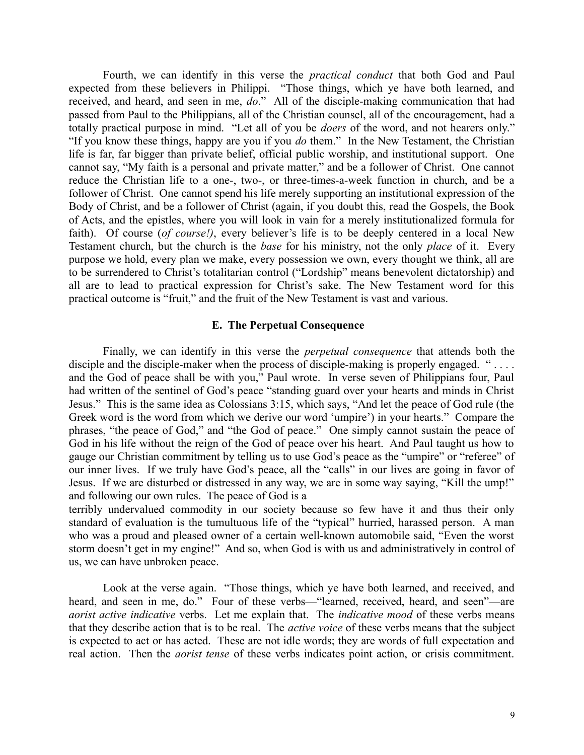Fourth, we can identify in this verse the *practical conduct* that both God and Paul expected from these believers in Philippi. "Those things, which ye have both learned, and received, and heard, and seen in me, *do*." All of the disciple-making communication that had passed from Paul to the Philippians, all of the Christian counsel, all of the encouragement, had a totally practical purpose in mind. "Let all of you be *doers* of the word, and not hearers only." "If you know these things, happy are you if you *do* them." In the New Testament, the Christian life is far, far bigger than private belief, official public worship, and institutional support. One cannot say, "My faith is a personal and private matter," and be a follower of Christ. One cannot reduce the Christian life to a one-, two-, or three-times-a-week function in church, and be a follower of Christ. One cannot spend his life merely supporting an institutional expression of the Body of Christ, and be a follower of Christ (again, if you doubt this, read the Gospels, the Book of Acts, and the epistles, where you will look in vain for a merely institutionalized formula for faith). Of course (*of course!)*, every believer's life is to be deeply centered in a local New Testament church, but the church is the *base* for his ministry, not the only *place* of it. Every purpose we hold, every plan we make, every possession we own, every thought we think, all are to be surrendered to Christ's totalitarian control ("Lordship" means benevolent dictatorship) and all are to lead to practical expression for Christ's sake. The New Testament word for this practical outcome is "fruit," and the fruit of the New Testament is vast and various.

### **E. The Perpetual Consequence**

Finally, we can identify in this verse the *perpetual consequence* that attends both the disciple and the disciple-maker when the process of disciple-making is properly engaged. " $\dots$ and the God of peace shall be with you," Paul wrote. In verse seven of Philippians four, Paul had written of the sentinel of God's peace "standing guard over your hearts and minds in Christ Jesus." This is the same idea as Colossians 3:15, which says, "And let the peace of God rule (the Greek word is the word from which we derive our word 'umpire') in your hearts." Compare the phrases, "the peace of God," and "the God of peace." One simply cannot sustain the peace of God in his life without the reign of the God of peace over his heart. And Paul taught us how to gauge our Christian commitment by telling us to use God's peace as the "umpire" or "referee" of our inner lives. If we truly have God's peace, all the "calls" in our lives are going in favor of Jesus. If we are disturbed or distressed in any way, we are in some way saying, "Kill the ump!" and following our own rules. The peace of God is a

terribly undervalued commodity in our society because so few have it and thus their only standard of evaluation is the tumultuous life of the "typical" hurried, harassed person. A man who was a proud and pleased owner of a certain well-known automobile said, "Even the worst storm doesn't get in my engine!" And so, when God is with us and administratively in control of us, we can have unbroken peace.

Look at the verse again. "Those things, which ye have both learned, and received, and heard, and seen in me, do." Four of these verbs—"learned, received, heard, and seen"—are *aorist active indicative* verbs. Let me explain that. The *indicative mood* of these verbs means that they describe action that is to be real. The *active voice* of these verbs means that the subject is expected to act or has acted. These are not idle words; they are words of full expectation and real action. Then the *aorist tense* of these verbs indicates point action, or crisis commitment.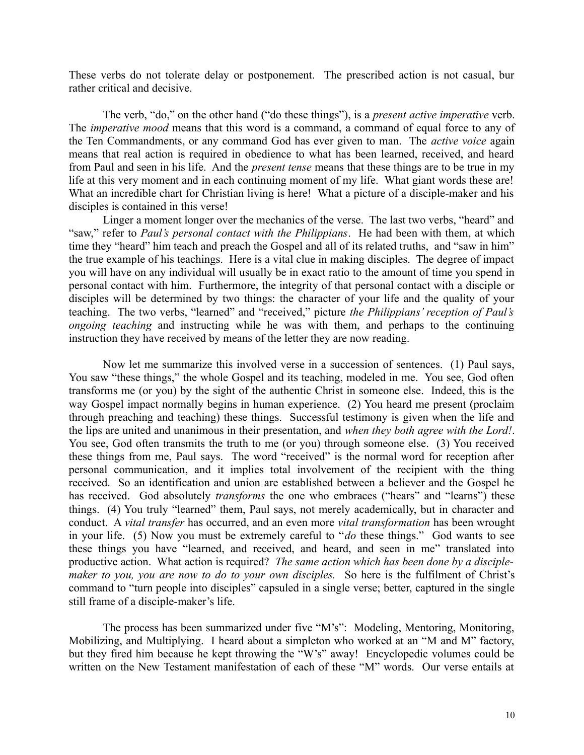These verbs do not tolerate delay or postponement. The prescribed action is not casual, bur rather critical and decisive.

The verb, "do," on the other hand ("do these things"), is a *present active imperative* verb. The *imperative mood* means that this word is a command, a command of equal force to any of the Ten Commandments, or any command God has ever given to man. The *active voice* again means that real action is required in obedience to what has been learned, received, and heard from Paul and seen in his life. And the *present tense* means that these things are to be true in my life at this very moment and in each continuing moment of my life. What giant words these are! What an incredible chart for Christian living is here! What a picture of a disciple-maker and his disciples is contained in this verse!

Linger a moment longer over the mechanics of the verse. The last two verbs, "heard" and "saw," refer to *Paul's personal contact with the Philippians*. He had been with them, at which time they "heard" him teach and preach the Gospel and all of its related truths, and "saw in him" the true example of his teachings. Here is a vital clue in making disciples. The degree of impact you will have on any individual will usually be in exact ratio to the amount of time you spend in personal contact with him. Furthermore, the integrity of that personal contact with a disciple or disciples will be determined by two things: the character of your life and the quality of your teaching. The two verbs, "learned" and "received," picture *the Philippians' reception of Paul's ongoing teaching* and instructing while he was with them, and perhaps to the continuing instruction they have received by means of the letter they are now reading.

Now let me summarize this involved verse in a succession of sentences. (1) Paul says, You saw "these things," the whole Gospel and its teaching, modeled in me. You see, God often transforms me (or you) by the sight of the authentic Christ in someone else. Indeed, this is the way Gospel impact normally begins in human experience. (2) You heard me present (proclaim through preaching and teaching) these things. Successful testimony is given when the life and the lips are united and unanimous in their presentation, and *when they both agree with the Lord!*. You see, God often transmits the truth to me (or you) through someone else. (3) You received these things from me, Paul says. The word "received" is the normal word for reception after personal communication, and it implies total involvement of the recipient with the thing received. So an identification and union are established between a believer and the Gospel he has received. God absolutely *transforms* the one who embraces ("hears" and "learns") these things. (4) You truly "learned" them, Paul says, not merely academically, but in character and conduct. A *vital transfer* has occurred, and an even more *vital transformation* has been wrought in your life. (5) Now you must be extremely careful to "*do* these things." God wants to see these things you have "learned, and received, and heard, and seen in me" translated into productive action. What action is required? *The same action which has been done by a disciplemaker to you, you are now to do to your own disciples.* So here is the fulfilment of Christ's command to "turn people into disciples" capsuled in a single verse; better, captured in the single still frame of a disciple-maker's life.

The process has been summarized under five "M's": Modeling, Mentoring, Monitoring, Mobilizing, and Multiplying. I heard about a simpleton who worked at an "M and M" factory, but they fired him because he kept throwing the "W's" away! Encyclopedic volumes could be written on the New Testament manifestation of each of these "M" words. Our verse entails at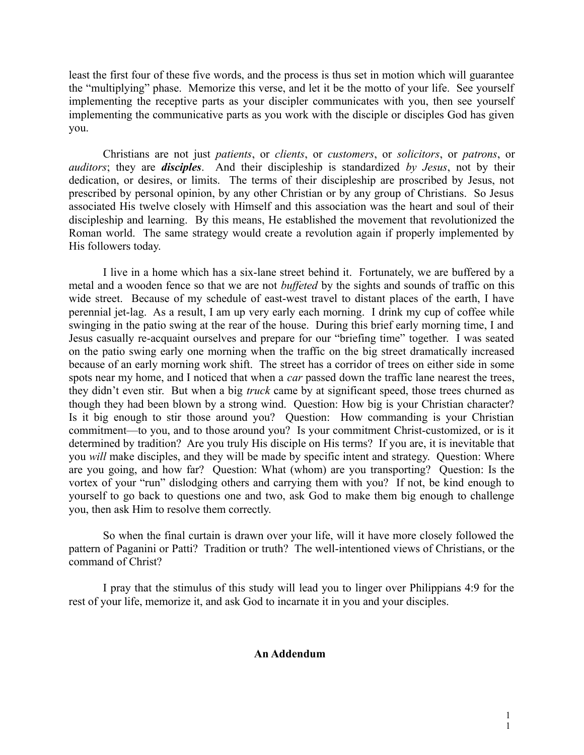least the first four of these five words, and the process is thus set in motion which will guarantee the "multiplying" phase. Memorize this verse, and let it be the motto of your life. See yourself implementing the receptive parts as your discipler communicates with you, then see yourself implementing the communicative parts as you work with the disciple or disciples God has given you.

Christians are not just *patients*, or *clients*, or *customers*, or *solicitors*, or *patrons*, or *auditors*; they are *disciples*. And their discipleship is standardized *by Jesus*, not by their dedication, or desires, or limits. The terms of their discipleship are proscribed by Jesus, not prescribed by personal opinion, by any other Christian or by any group of Christians. So Jesus associated His twelve closely with Himself and this association was the heart and soul of their discipleship and learning. By this means, He established the movement that revolutionized the Roman world. The same strategy would create a revolution again if properly implemented by His followers today.

I live in a home which has a six-lane street behind it. Fortunately, we are buffered by a metal and a wooden fence so that we are not *buffeted* by the sights and sounds of traffic on this wide street. Because of my schedule of east-west travel to distant places of the earth, I have perennial jet-lag. As a result, I am up very early each morning. I drink my cup of coffee while swinging in the patio swing at the rear of the house. During this brief early morning time, I and Jesus casually re-acquaint ourselves and prepare for our "briefing time" together. I was seated on the patio swing early one morning when the traffic on the big street dramatically increased because of an early morning work shift. The street has a corridor of trees on either side in some spots near my home, and I noticed that when a *car* passed down the traffic lane nearest the trees, they didn't even stir. But when a big *truck* came by at significant speed, those trees churned as though they had been blown by a strong wind. Question: How big is your Christian character? Is it big enough to stir those around you? Question: How commanding is your Christian commitment—to you, and to those around you? Is your commitment Christ-customized, or is it determined by tradition? Are you truly His disciple on His terms? If you are, it is inevitable that you *will* make disciples, and they will be made by specific intent and strategy. Question: Where are you going, and how far? Question: What (whom) are you transporting? Question: Is the vortex of your "run" dislodging others and carrying them with you? If not, be kind enough to yourself to go back to questions one and two, ask God to make them big enough to challenge you, then ask Him to resolve them correctly.

So when the final curtain is drawn over your life, will it have more closely followed the pattern of Paganini or Patti? Tradition or truth? The well-intentioned views of Christians, or the command of Christ?

I pray that the stimulus of this study will lead you to linger over Philippians 4:9 for the rest of your life, memorize it, and ask God to incarnate it in you and your disciples.

### **An Addendum**